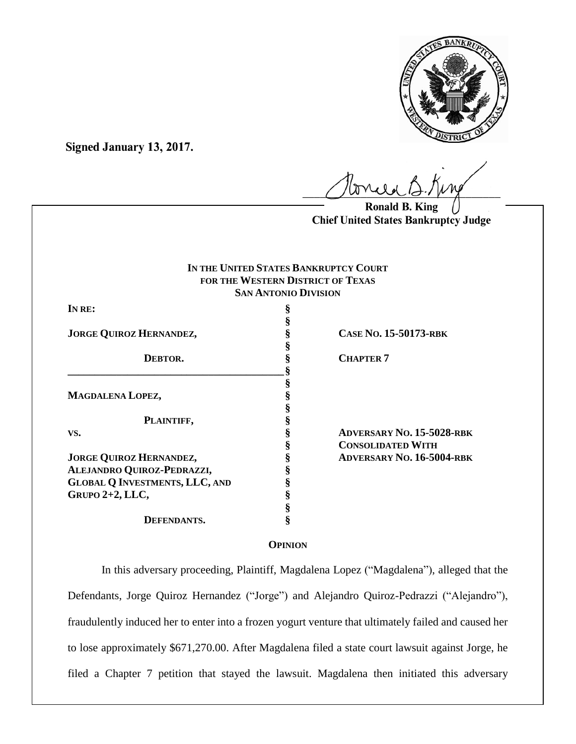

**Signed January 13, 2017.**

 $U^{WVWW}$ 

**Ronald B. King Chief United States Bankruptcy Judge**

## **IN THE UNITED STATES BANKRUPTCY COURT FOR THE WESTERN DISTRICT OF TEXAS SAN ANTONIO DIVISION**

**§**

**§**

**IN RE: §**

**JORGE QUIROZ HERNANDEZ, § CASE NO. 15-50173-RBK**

**DEBTOR.** § **CHAPTER 7** 

**MAGDALENA LOPEZ, §**

**PLAINTIFF, §**

**JORGE QUIROZ HERNANDEZ, § ADVERSARY NO. 16-5004-RBK ALEJANDRO QUIROZ-PEDRAZZI, § GLOBAL Q INVESTMENTS, LLC, AND § GRUPO 2+2, LLC, §**

**\_\_\_\_\_\_\_\_\_\_\_\_\_\_\_\_\_\_\_\_\_\_\_\_\_\_\_\_\_\_\_\_\_\_\_\_\_\_\_\_ § § § § DEFENDANTS. §**

**VS. § ADVERSARY NO. 15-5028-RBK § CONSOLIDATED WITH**

# **OPINION**

In this adversary proceeding, Plaintiff, Magdalena Lopez ("Magdalena"), alleged that the Defendants, Jorge Quiroz Hernandez ("Jorge") and Alejandro Quiroz-Pedrazzi ("Alejandro"), fraudulently induced her to enter into a frozen yogurt venture that ultimately failed and caused her to lose approximately \$671,270.00. After Magdalena filed a state court lawsuit against Jorge, he filed a Chapter 7 petition that stayed the lawsuit. Magdalena then initiated this adversary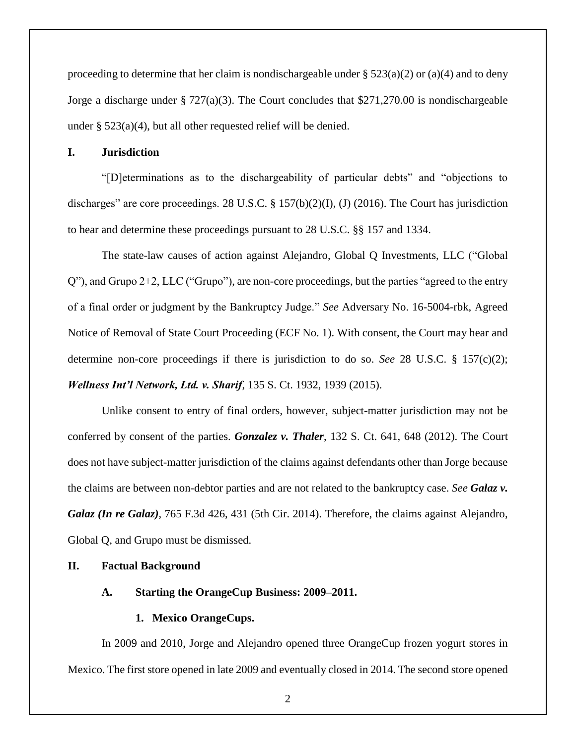proceeding to determine that her claim is nondischargeable under  $\S 523(a)(2)$  or (a)(4) and to deny Jorge a discharge under § 727(a)(3). The Court concludes that \$271,270.00 is nondischargeable under § 523(a)(4), but all other requested relief will be denied.

## **I. Jurisdiction**

"[D]eterminations as to the dischargeability of particular debts" and "objections to discharges" are core proceedings. 28 U.S.C. § 157(b)(2)(I), (J) (2016). The Court has jurisdiction to hear and determine these proceedings pursuant to 28 U.S.C. §§ 157 and 1334.

The state-law causes of action against Alejandro, Global Q Investments, LLC ("Global Q"), and Grupo 2+2, LLC ("Grupo"), are non-core proceedings, but the parties "agreed to the entry of a final order or judgment by the Bankruptcy Judge." *See* Adversary No. 16-5004-rbk, Agreed Notice of Removal of State Court Proceeding (ECF No. 1). With consent, the Court may hear and determine non-core proceedings if there is jurisdiction to do so. *See* 28 U.S.C. § 157(c)(2); *Wellness Int'l Network, Ltd. v. Sharif*, 135 S. Ct. 1932, 1939 (2015).

Unlike consent to entry of final orders, however, subject-matter jurisdiction may not be conferred by consent of the parties. *Gonzalez v. Thaler*, 132 S. Ct. 641, 648 (2012). The Court does not have subject-matter jurisdiction of the claims against defendants other than Jorge because the claims are between non-debtor parties and are not related to the bankruptcy case. *See Galaz v. Galaz (In re Galaz)*, 765 F.3d 426, 431 (5th Cir. 2014). Therefore, the claims against Alejandro, Global Q, and Grupo must be dismissed.

## **II. Factual Background**

## **A. Starting the OrangeCup Business: 2009–2011.**

## **1. Mexico OrangeCups.**

In 2009 and 2010, Jorge and Alejandro opened three OrangeCup frozen yogurt stores in Mexico. The first store opened in late 2009 and eventually closed in 2014. The second store opened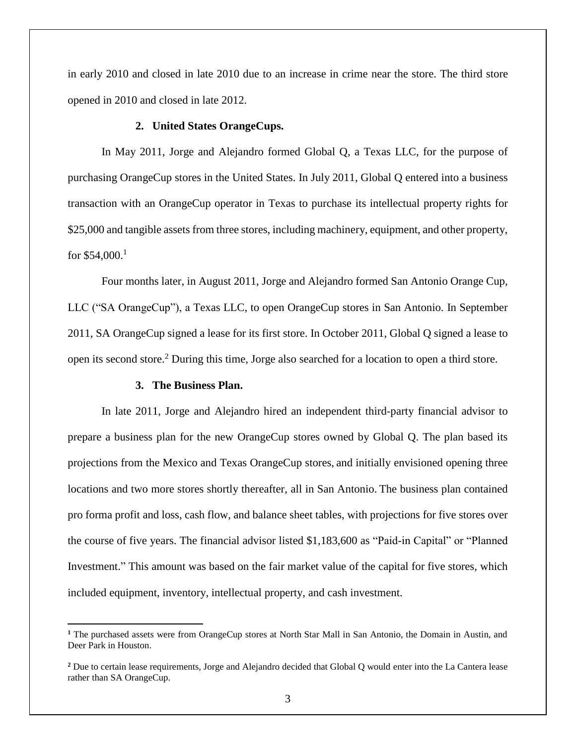in early 2010 and closed in late 2010 due to an increase in crime near the store. The third store opened in 2010 and closed in late 2012.

#### **2. United States OrangeCups.**

In May 2011, Jorge and Alejandro formed Global Q, a Texas LLC, for the purpose of purchasing OrangeCup stores in the United States. In July 2011, Global Q entered into a business transaction with an OrangeCup operator in Texas to purchase its intellectual property rights for \$25,000 and tangible assets from three stores, including machinery, equipment, and other property, for  $$54,000$ <sup>1</sup>

Four months later, in August 2011, Jorge and Alejandro formed San Antonio Orange Cup, LLC ("SA OrangeCup"), a Texas LLC, to open OrangeCup stores in San Antonio. In September 2011, SA OrangeCup signed a lease for its first store. In October 2011, Global Q signed a lease to open its second store.<sup>2</sup> During this time, Jorge also searched for a location to open a third store.

#### **3. The Business Plan.**

 $\overline{a}$ 

In late 2011, Jorge and Alejandro hired an independent third-party financial advisor to prepare a business plan for the new OrangeCup stores owned by Global Q. The plan based its projections from the Mexico and Texas OrangeCup stores, and initially envisioned opening three locations and two more stores shortly thereafter, all in San Antonio. The business plan contained pro forma profit and loss, cash flow, and balance sheet tables, with projections for five stores over the course of five years. The financial advisor listed \$1,183,600 as "Paid-in Capital" or "Planned Investment." This amount was based on the fair market value of the capital for five stores, which included equipment, inventory, intellectual property, and cash investment.

**<sup>1</sup>** The purchased assets were from OrangeCup stores at North Star Mall in San Antonio, the Domain in Austin, and Deer Park in Houston.

**<sup>2</sup>** Due to certain lease requirements, Jorge and Alejandro decided that Global Q would enter into the La Cantera lease rather than SA OrangeCup.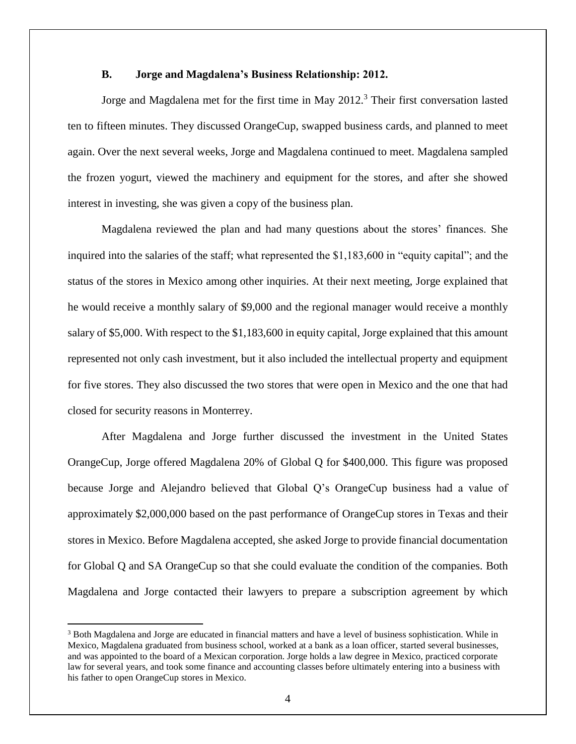## **B. Jorge and Magdalena's Business Relationship: 2012.**

Jorge and Magdalena met for the first time in May 2012. <sup>3</sup> Their first conversation lasted ten to fifteen minutes. They discussed OrangeCup, swapped business cards, and planned to meet again. Over the next several weeks, Jorge and Magdalena continued to meet. Magdalena sampled the frozen yogurt, viewed the machinery and equipment for the stores, and after she showed interest in investing, she was given a copy of the business plan.

Magdalena reviewed the plan and had many questions about the stores' finances. She inquired into the salaries of the staff; what represented the \$1,183,600 in "equity capital"; and the status of the stores in Mexico among other inquiries. At their next meeting, Jorge explained that he would receive a monthly salary of \$9,000 and the regional manager would receive a monthly salary of \$5,000. With respect to the \$1,183,600 in equity capital, Jorge explained that this amount represented not only cash investment, but it also included the intellectual property and equipment for five stores. They also discussed the two stores that were open in Mexico and the one that had closed for security reasons in Monterrey.

After Magdalena and Jorge further discussed the investment in the United States OrangeCup, Jorge offered Magdalena 20% of Global Q for \$400,000. This figure was proposed because Jorge and Alejandro believed that Global Q's OrangeCup business had a value of approximately \$2,000,000 based on the past performance of OrangeCup stores in Texas and their stores in Mexico. Before Magdalena accepted, she asked Jorge to provide financial documentation for Global Q and SA OrangeCup so that she could evaluate the condition of the companies. Both Magdalena and Jorge contacted their lawyers to prepare a subscription agreement by which

 $\overline{a}$ 

<sup>&</sup>lt;sup>3</sup> Both Magdalena and Jorge are educated in financial matters and have a level of business sophistication. While in Mexico, Magdalena graduated from business school, worked at a bank as a loan officer, started several businesses, and was appointed to the board of a Mexican corporation. Jorge holds a law degree in Mexico, practiced corporate law for several years, and took some finance and accounting classes before ultimately entering into a business with his father to open OrangeCup stores in Mexico.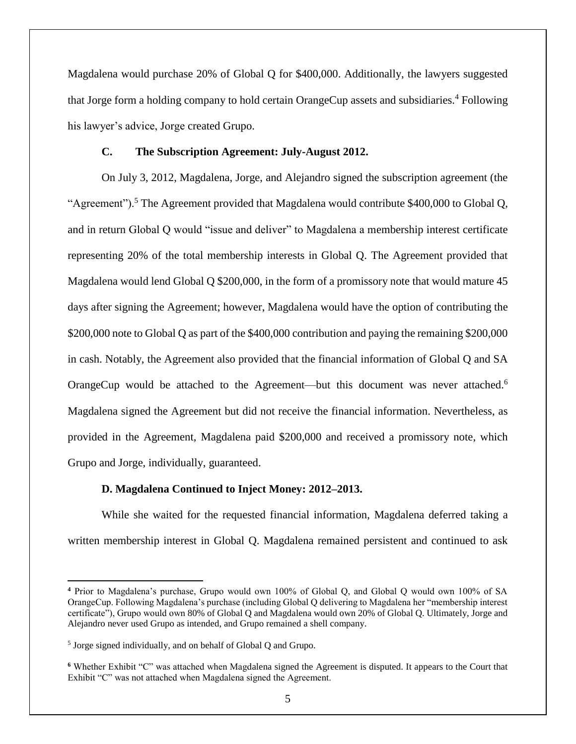Magdalena would purchase 20% of Global Q for \$400,000. Additionally, the lawyers suggested that Jorge form a holding company to hold certain OrangeCup assets and subsidiaries.<sup>4</sup> Following his lawyer's advice, Jorge created Grupo.

## **C. The Subscription Agreement: July-August 2012.**

On July 3, 2012, Magdalena, Jorge, and Alejandro signed the subscription agreement (the "Agreement").<sup>5</sup> The Agreement provided that Magdalena would contribute \$400,000 to Global Q, and in return Global Q would "issue and deliver" to Magdalena a membership interest certificate representing 20% of the total membership interests in Global Q. The Agreement provided that Magdalena would lend Global Q \$200,000, in the form of a promissory note that would mature 45 days after signing the Agreement; however, Magdalena would have the option of contributing the \$200,000 note to Global Q as part of the \$400,000 contribution and paying the remaining \$200,000 in cash. Notably, the Agreement also provided that the financial information of Global Q and SA OrangeCup would be attached to the Agreement—but this document was never attached.<sup>6</sup> Magdalena signed the Agreement but did not receive the financial information. Nevertheless, as provided in the Agreement, Magdalena paid \$200,000 and received a promissory note, which Grupo and Jorge, individually, guaranteed.

## **D. Magdalena Continued to Inject Money: 2012–2013.**

While she waited for the requested financial information, Magdalena deferred taking a written membership interest in Global Q. Magdalena remained persistent and continued to ask

**<sup>4</sup>** Prior to Magdalena's purchase, Grupo would own 100% of Global Q, and Global Q would own 100% of SA OrangeCup. Following Magdalena's purchase (including Global Q delivering to Magdalena her "membership interest certificate"), Grupo would own 80% of Global Q and Magdalena would own 20% of Global Q. Ultimately, Jorge and Alejandro never used Grupo as intended, and Grupo remained a shell company.

<sup>&</sup>lt;sup>5</sup> Jorge signed individually, and on behalf of Global Q and Grupo.

**<sup>6</sup>** Whether Exhibit "C" was attached when Magdalena signed the Agreement is disputed. It appears to the Court that Exhibit "C" was not attached when Magdalena signed the Agreement.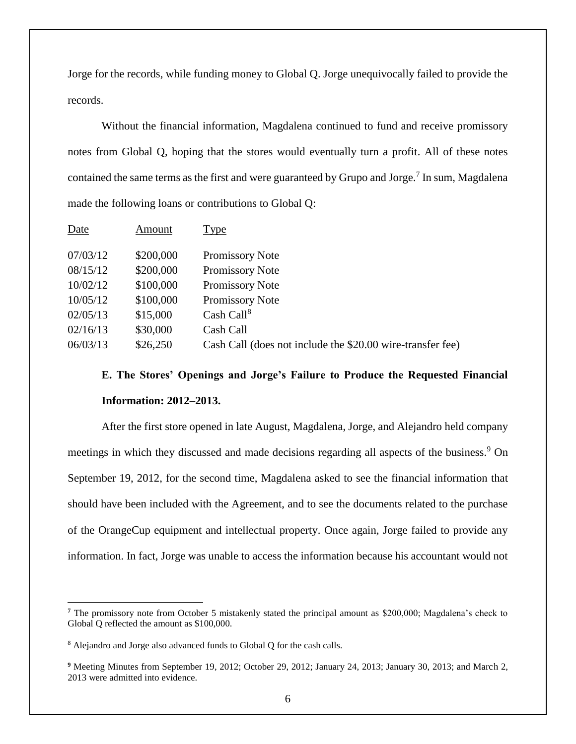Jorge for the records, while funding money to Global Q. Jorge unequivocally failed to provide the records.

Without the financial information, Magdalena continued to fund and receive promissory notes from Global Q, hoping that the stores would eventually turn a profit. All of these notes contained the same terms as the first and were guaranteed by Grupo and Jorge.<sup>7</sup> In sum, Magdalena made the following loans or contributions to Global Q:

| Date     | Amount    | Type                                                       |
|----------|-----------|------------------------------------------------------------|
| 07/03/12 | \$200,000 | Promissory Note                                            |
| 08/15/12 | \$200,000 | Promissory Note                                            |
| 10/02/12 | \$100,000 | Promissory Note                                            |
| 10/05/12 | \$100,000 | Promissory Note                                            |
| 02/05/13 | \$15,000  | Cash Call <sup>8</sup>                                     |
| 02/16/13 | \$30,000  | Cash Call                                                  |
| 06/03/13 | \$26,250  | Cash Call (does not include the \$20.00 wire-transfer fee) |

# **E. The Stores' Openings and Jorge's Failure to Produce the Requested Financial Information: 2012–2013.**

After the first store opened in late August, Magdalena, Jorge, and Alejandro held company meetings in which they discussed and made decisions regarding all aspects of the business.<sup>9</sup> On September 19, 2012, for the second time, Magdalena asked to see the financial information that should have been included with the Agreement, and to see the documents related to the purchase of the OrangeCup equipment and intellectual property. Once again, Jorge failed to provide any information. In fact, Jorge was unable to access the information because his accountant would not

**<sup>7</sup>** The promissory note from October 5 mistakenly stated the principal amount as \$200,000; Magdalena's check to Global Q reflected the amount as \$100,000.

<sup>8</sup> Alejandro and Jorge also advanced funds to Global Q for the cash calls.

**<sup>9</sup>** Meeting Minutes from September 19, 2012; October 29, 2012; January 24, 2013; January 30, 2013; and March 2, 2013 were admitted into evidence.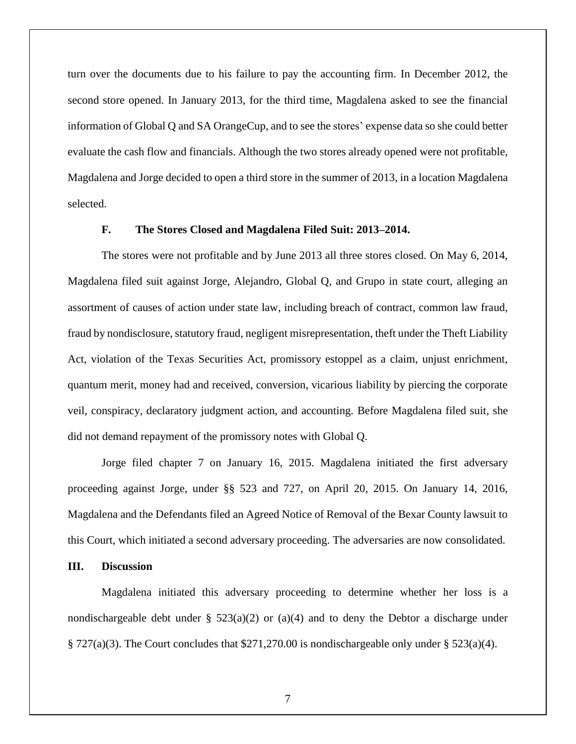turn over the documents due to his failure to pay the accounting firm. In December 2012, the second store opened. In January 2013, for the third time, Magdalena asked to see the financial information of Global Q and SA OrangeCup, and to see the stores' expense data so she could better evaluate the cash flow and financials. Although the two stores already opened were not profitable, Magdalena and Jorge decided to open a third store in the summer of 2013, in a location Magdalena selected.

#### **F. The Stores Closed and Magdalena Filed Suit: 2013–2014.**

The stores were not profitable and by June 2013 all three stores closed. On May 6, 2014, Magdalena filed suit against Jorge, Alejandro, Global Q, and Grupo in state court, alleging an assortment of causes of action under state law, including breach of contract, common law fraud, fraud by nondisclosure, statutory fraud, negligent misrepresentation, theft under the Theft Liability Act, violation of the Texas Securities Act, promissory estoppel as a claim, unjust enrichment, quantum merit, money had and received, conversion, vicarious liability by piercing the corporate veil, conspiracy, declaratory judgment action, and accounting. Before Magdalena filed suit, she did not demand repayment of the promissory notes with Global Q.

Jorge filed chapter 7 on January 16, 2015. Magdalena initiated the first adversary proceeding against Jorge, under §§ 523 and 727, on April 20, 2015. On January 14, 2016, Magdalena and the Defendants filed an Agreed Notice of Removal of the Bexar County lawsuit to this Court, which initiated a second adversary proceeding. The adversaries are now consolidated.

## **III. Discussion**

Magdalena initiated this adversary proceeding to determine whether her loss is a nondischargeable debt under §  $523(a)(2)$  or  $(a)(4)$  and to deny the Debtor a discharge under  $\S 727(a)(3)$ . The Court concludes that \$271,270.00 is nondischargeable only under  $\S 523(a)(4)$ .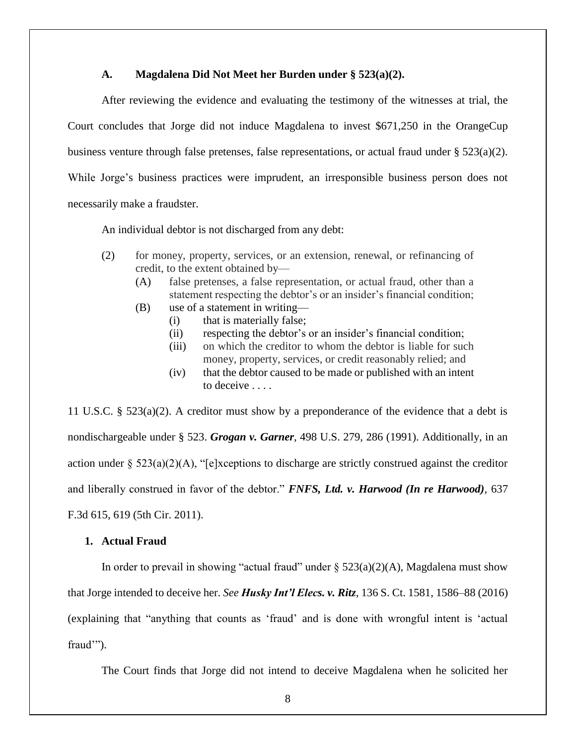## **A. Magdalena Did Not Meet her Burden under § 523(a)(2).**

After reviewing the evidence and evaluating the testimony of the witnesses at trial, the Court concludes that Jorge did not induce Magdalena to invest \$671,250 in the OrangeCup business venture through false pretenses, false representations, or actual fraud under § 523(a)(2). While Jorge's business practices were imprudent, an irresponsible business person does not necessarily make a fraudster.

An individual debtor is not discharged from any debt:

- (2) for money, property, services, or an extension, renewal, or refinancing of credit, to the extent obtained by—
	- (A) false pretenses, a false representation, or actual fraud, other than a statement respecting the debtor's or an insider's financial condition;
	- (B) use of a statement in writing—
		- (i) that is materially false;
		- (ii) respecting the debtor's or an insider's financial condition;
		- (iii) on which the creditor to whom the debtor is liable for such money, property, services, or credit reasonably relied; and
		- (iv) that the debtor caused to be made or published with an intent to deceive . . . .

11 U.S.C. § 523(a)(2). A creditor must show by a preponderance of the evidence that a debt is nondischargeable under § 523. *Grogan v. Garner*, 498 U.S. 279, 286 (1991). Additionally, in an action under §  $523(a)(2)(A)$ , "[e]xceptions to discharge are strictly construed against the creditor and liberally construed in favor of the debtor." *FNFS, Ltd. v. Harwood (In re Harwood),* 637 F.3d 615, 619 (5th Cir. 2011).

## **1. Actual Fraud**

In order to prevail in showing "actual fraud" under  $\S$  523(a)(2)(A), Magdalena must show that Jorge intended to deceive her. *See Husky Int'l Elecs. v. Ritz*, 136 S. Ct. 1581, 1586–88 (2016) (explaining that "anything that counts as 'fraud' and is done with wrongful intent is 'actual fraud'").

The Court finds that Jorge did not intend to deceive Magdalena when he solicited her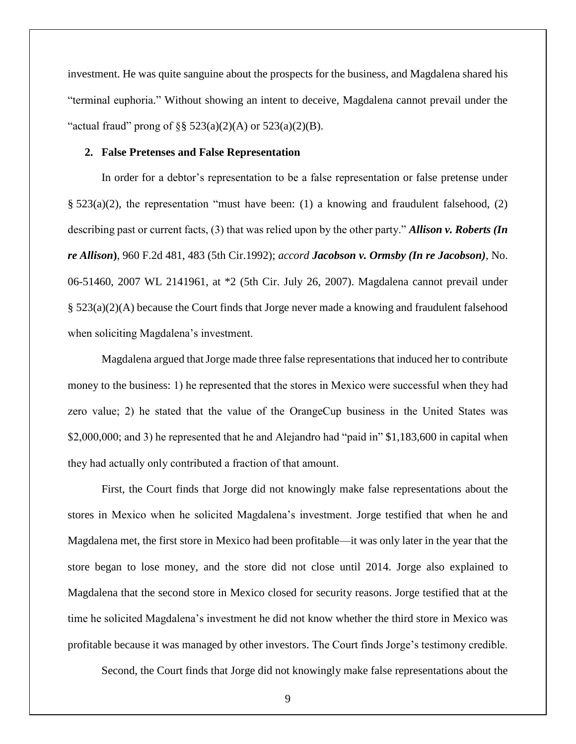investment. He was quite sanguine about the prospects for the business, and Magdalena shared his "terminal euphoria." Without showing an intent to deceive, Magdalena cannot prevail under the "actual fraud" prong of  $\S$ § 523(a)(2)(A) or 523(a)(2)(B).

#### **2. False Pretenses and False Representation**

In order for a debtor's representation to be a false representation or false pretense under §  $523(a)(2)$ , the representation "must have been: (1) a knowing and fraudulent falsehood, (2) describing past or current facts, (3) that was relied upon by the other party." *Allison v. Roberts (In re Allison***)**, 960 F.2d 481, 483 (5th Cir.1992); *accord Jacobson v. Ormsby (In re Jacobson)*, No. 06-51460, 2007 WL 2141961, at \*2 (5th Cir. July 26, 2007). Magdalena cannot prevail under § 523(a)(2)(A) because the Court finds that Jorge never made a knowing and fraudulent falsehood when soliciting Magdalena's investment.

Magdalena argued that Jorge made three false representations that induced her to contribute money to the business: 1) he represented that the stores in Mexico were successful when they had zero value; 2) he stated that the value of the OrangeCup business in the United States was \$2,000,000; and 3) he represented that he and Alejandro had "paid in" \$1,183,600 in capital when they had actually only contributed a fraction of that amount.

First, the Court finds that Jorge did not knowingly make false representations about the stores in Mexico when he solicited Magdalena's investment. Jorge testified that when he and Magdalena met, the first store in Mexico had been profitable—it was only later in the year that the store began to lose money, and the store did not close until 2014. Jorge also explained to Magdalena that the second store in Mexico closed for security reasons. Jorge testified that at the time he solicited Magdalena's investment he did not know whether the third store in Mexico was profitable because it was managed by other investors. The Court finds Jorge's testimony credible.

Second, the Court finds that Jorge did not knowingly make false representations about the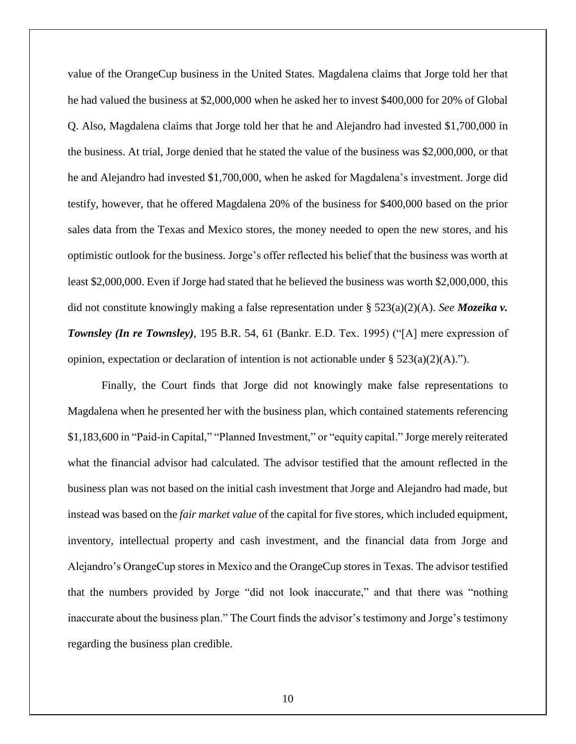value of the OrangeCup business in the United States. Magdalena claims that Jorge told her that he had valued the business at \$2,000,000 when he asked her to invest \$400,000 for 20% of Global Q. Also, Magdalena claims that Jorge told her that he and Alejandro had invested \$1,700,000 in the business. At trial, Jorge denied that he stated the value of the business was \$2,000,000, or that he and Alejandro had invested \$1,700,000, when he asked for Magdalena's investment. Jorge did testify, however, that he offered Magdalena 20% of the business for \$400,000 based on the prior sales data from the Texas and Mexico stores, the money needed to open the new stores, and his optimistic outlook for the business. Jorge's offer reflected his belief that the business was worth at least \$2,000,000. Even if Jorge had stated that he believed the business was worth \$2,000,000, this did not constitute knowingly making a false representation under § 523(a)(2)(A). *See Mozeika v. Townsley (In re Townsley)*, 195 B.R. 54, 61 (Bankr. E.D. Tex. 1995) ("[A] mere expression of opinion, expectation or declaration of intention is not actionable under  $\S 523(a)(2)(A)$ .").

Finally, the Court finds that Jorge did not knowingly make false representations to Magdalena when he presented her with the business plan, which contained statements referencing \$1,183,600 in "Paid-in Capital," "Planned Investment," or "equity capital." Jorge merely reiterated what the financial advisor had calculated. The advisor testified that the amount reflected in the business plan was not based on the initial cash investment that Jorge and Alejandro had made, but instead was based on the *fair market value* of the capital for five stores, which included equipment, inventory, intellectual property and cash investment, and the financial data from Jorge and Alejandro's OrangeCup stores in Mexico and the OrangeCup stores in Texas. The advisor testified that the numbers provided by Jorge "did not look inaccurate," and that there was "nothing inaccurate about the business plan." The Court finds the advisor's testimony and Jorge's testimony regarding the business plan credible.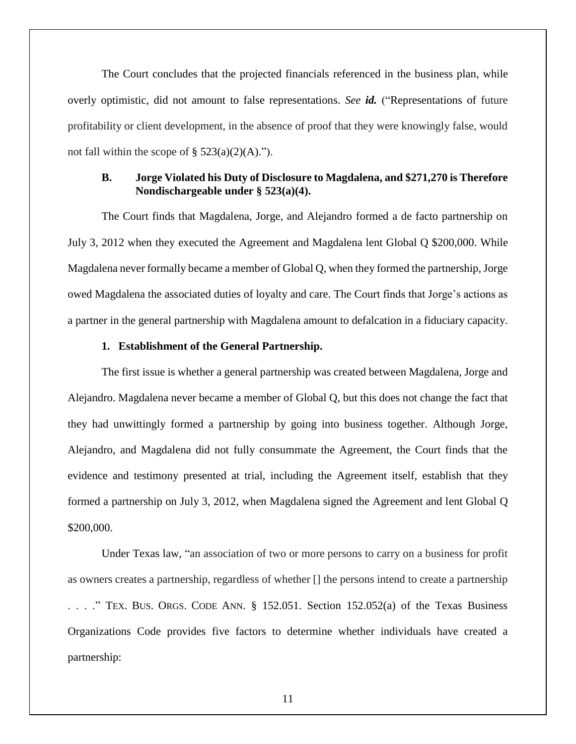The Court concludes that the projected financials referenced in the business plan, while overly optimistic, did not amount to false representations. *See id.* ("Representations of future profitability or client development, in the absence of proof that they were knowingly false, would not fall within the scope of  $\S$  523(a)(2)(A).").

## **B. Jorge Violated his Duty of Disclosure to Magdalena, and \$271,270 is Therefore Nondischargeable under § 523(a)(4).**

The Court finds that Magdalena, Jorge, and Alejandro formed a de facto partnership on July 3, 2012 when they executed the Agreement and Magdalena lent Global Q \$200,000. While Magdalena never formally became a member of Global Q, when they formed the partnership, Jorge owed Magdalena the associated duties of loyalty and care. The Court finds that Jorge's actions as a partner in the general partnership with Magdalena amount to defalcation in a fiduciary capacity.

## **1. Establishment of the General Partnership.**

The first issue is whether a general partnership was created between Magdalena, Jorge and Alejandro. Magdalena never became a member of Global Q, but this does not change the fact that they had unwittingly formed a partnership by going into business together. Although Jorge, Alejandro, and Magdalena did not fully consummate the Agreement, the Court finds that the evidence and testimony presented at trial, including the Agreement itself, establish that they formed a partnership on July 3, 2012, when Magdalena signed the Agreement and lent Global Q \$200,000.

Under Texas law, "an association of two or more persons to carry on a business for profit as owners creates a partnership, regardless of whether [] the persons intend to create a partnership  $\ldots$ . . . . . . . . . . TEX. BUS. ORGS. CODE ANN. § 152.051. Section 152.052(a) of the Texas Business Organizations Code provides five factors to determine whether individuals have created a partnership: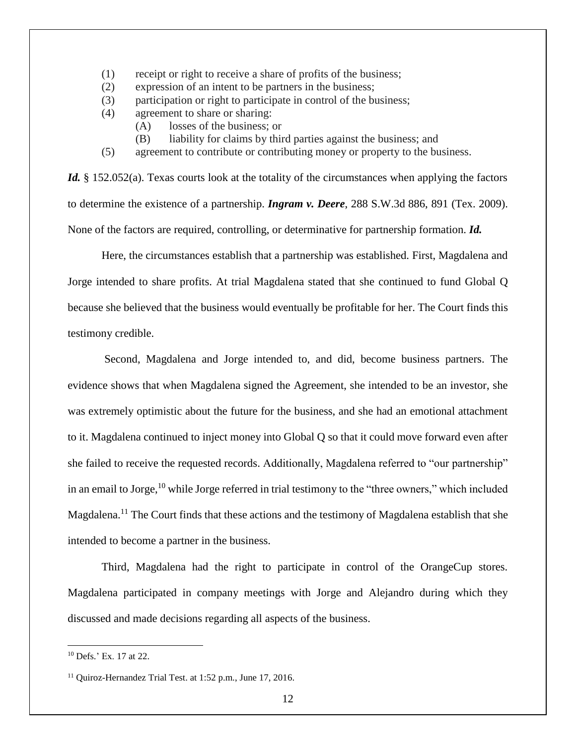- (1) receipt or right to receive a share of profits of the business;
- (2) expression of an intent to be partners in the business;
- (3) participation or right to participate in control of the business;
- (4) agreement to share or sharing:
	- (A) losses of the business; or
	- (B) liability for claims by third parties against the business; and
- (5) agreement to contribute or contributing money or property to the business.

*Id.* § 152.052(a). Texas courts look at the totality of the circumstances when applying the factors to determine the existence of a partnership. *Ingram v. Deere*, 288 S.W.3d 886, 891 (Tex. 2009). None of the factors are required, controlling, or determinative for partnership formation. *Id.*

Here, the circumstances establish that a partnership was established. First, Magdalena and Jorge intended to share profits. At trial Magdalena stated that she continued to fund Global Q because she believed that the business would eventually be profitable for her. The Court finds this testimony credible.

Second, Magdalena and Jorge intended to, and did, become business partners. The evidence shows that when Magdalena signed the Agreement, she intended to be an investor, she was extremely optimistic about the future for the business, and she had an emotional attachment to it. Magdalena continued to inject money into Global Q so that it could move forward even after she failed to receive the requested records. Additionally, Magdalena referred to "our partnership" in an email to Jorge,<sup>10</sup> while Jorge referred in trial testimony to the "three owners," which included Magdalena.<sup>11</sup> The Court finds that these actions and the testimony of Magdalena establish that she intended to become a partner in the business.

Third, Magdalena had the right to participate in control of the OrangeCup stores. Magdalena participated in company meetings with Jorge and Alejandro during which they discussed and made decisions regarding all aspects of the business.

<sup>10</sup> Defs.' Ex. 17 at 22.

<sup>&</sup>lt;sup>11</sup> Ouiroz-Hernandez Trial Test. at 1:52 p.m., June 17, 2016.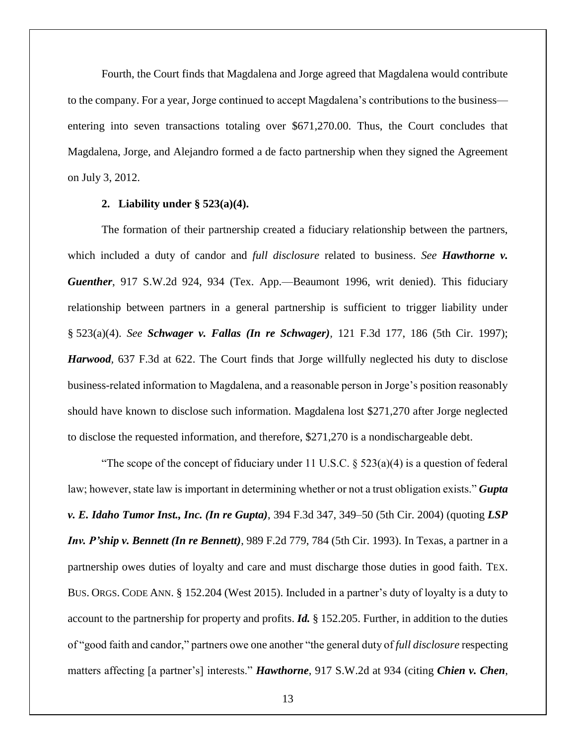Fourth, the Court finds that Magdalena and Jorge agreed that Magdalena would contribute to the company. For a year, Jorge continued to accept Magdalena's contributions to the business entering into seven transactions totaling over \$671,270.00. Thus, the Court concludes that Magdalena, Jorge, and Alejandro formed a de facto partnership when they signed the Agreement on July 3, 2012.

## **2. Liability under § 523(a)(4).**

The formation of their partnership created a fiduciary relationship between the partners, which included a duty of candor and *full disclosure* related to business. *See Hawthorne v. Guenther*, 917 S.W.2d 924, 934 (Tex. App.—Beaumont 1996, writ denied). This fiduciary relationship between partners in a general partnership is sufficient to trigger liability under § 523(a)(4). *See Schwager v. Fallas (In re Schwager),* 121 F.3d 177, 186 (5th Cir. 1997); *Harwood,* 637 F.3d at 622. The Court finds that Jorge willfully neglected his duty to disclose business-related information to Magdalena, and a reasonable person in Jorge's position reasonably should have known to disclose such information. Magdalena lost \$271,270 after Jorge neglected to disclose the requested information, and therefore, \$271,270 is a nondischargeable debt.

"The scope of the concept of fiduciary under 11 U.S.C.  $\S$  523(a)(4) is a question of federal law; however, state law is important in determining whether or not a trust obligation exists." *Gupta v. E. Idaho Tumor Inst., Inc. (In re Gupta)*, 394 F.3d 347, 349–50 (5th Cir. 2004) (quoting *LSP Inv. P'ship v. Bennett (In re Bennett)*, 989 F.2d 779, 784 (5th Cir. 1993). In Texas, a partner in a partnership owes duties of loyalty and care and must discharge those duties in good faith. TEX. BUS. ORGS. CODE ANN. § 152.204 (West 2015). Included in a partner's duty of loyalty is a duty to account to the partnership for property and profits. *Id.* § 152.205. Further, in addition to the duties of "good faith and candor," partners owe one another "the general duty of *full disclosure* respecting matters affecting [a partner's] interests." *Hawthorne*, 917 S.W.2d at 934 (citing *Chien v. Chen*,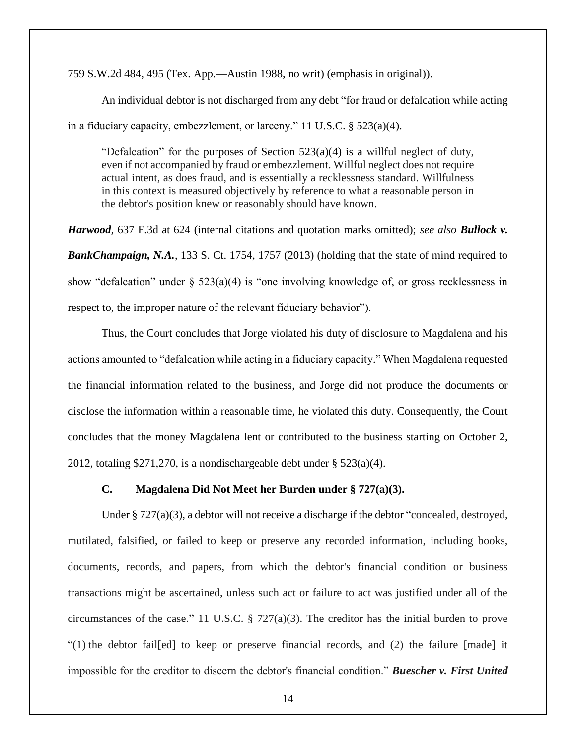759 S.W.2d 484, 495 (Tex. App.—Austin 1988, no writ) (emphasis in original)).

An individual debtor is not discharged from any debt "for fraud or defalcation while acting in a fiduciary capacity, embezzlement, or larceny." 11 U.S.C. § 523(a)(4).

"Defalcation" for the purposes of Section  $523(a)(4)$  is a willful neglect of duty, even if not accompanied by fraud or embezzlement. Willful neglect does not require actual intent, as does fraud, and is essentially a recklessness standard. Willfulness in this context is measured objectively by reference to what a reasonable person in the debtor's position knew or reasonably should have known.

*Harwood,* 637 F.3d at 624 (internal citations and quotation marks omitted); *see also Bullock v. BankChampaign, N.A.*, 133 S. Ct. 1754, 1757 (2013) (holding that the state of mind required to show "defalcation" under § 523(a)(4) is "one involving knowledge of, or gross recklessness in respect to, the improper nature of the relevant fiduciary behavior").

Thus, the Court concludes that Jorge violated his duty of disclosure to Magdalena and his actions amounted to "defalcation while acting in a fiduciary capacity." When Magdalena requested the financial information related to the business, and Jorge did not produce the documents or disclose the information within a reasonable time, he violated this duty. Consequently, the Court concludes that the money Magdalena lent or contributed to the business starting on October 2, 2012, totaling \$271,270, is a nondischargeable debt under § 523(a)(4).

## **C. Magdalena Did Not Meet her Burden under § 727(a)(3).**

Under § 727(a)(3), a debtor will not receive a discharge if the debtor "concealed, destroyed, mutilated, falsified, or failed to keep or preserve any recorded information, including books, documents, records, and papers, from which the debtor's financial condition or business transactions might be ascertained, unless such act or failure to act was justified under all of the circumstances of the case." 11 U.S.C. § 727(a)(3). The creditor has the initial burden to prove "(1) the debtor fail[ed] to keep or preserve financial records, and (2) the failure [made] it impossible for the creditor to discern the debtor's financial condition." *Buescher v. First United*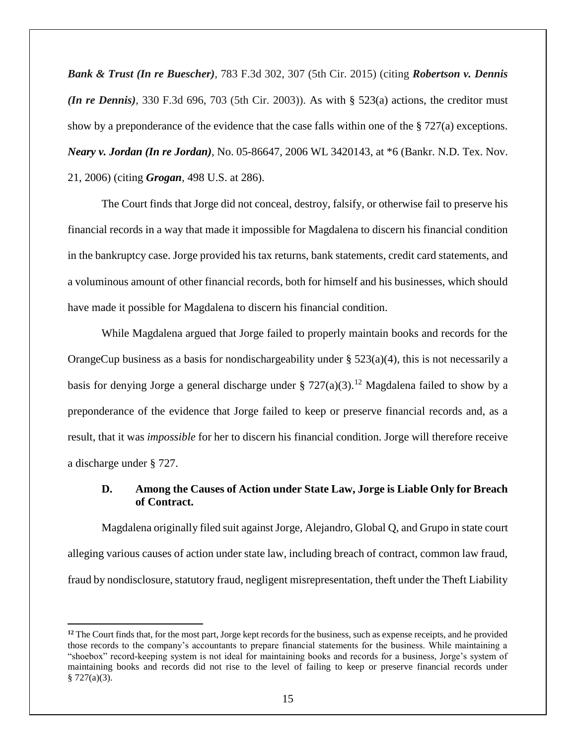*Bank & Trust (In re Buescher)*, 783 F.3d 302, 307 (5th Cir. 2015) (citing *Robertson v. Dennis (In re Dennis)*, 330 F.3d 696, 703 (5th Cir. 2003)). As with § 523(a) actions, the creditor must show by a preponderance of the evidence that the case falls within one of the  $\S 727(a)$  exceptions. *Neary v. Jordan (In re Jordan),* No. 05-86647, 2006 WL 3420143, at \*6 (Bankr. N.D. Tex. Nov. 21, 2006) (citing *Grogan,* 498 U.S. at 286).

The Court finds that Jorge did not conceal, destroy, falsify, or otherwise fail to preserve his financial records in a way that made it impossible for Magdalena to discern his financial condition in the bankruptcy case. Jorge provided his tax returns, bank statements, credit card statements, and a voluminous amount of other financial records, both for himself and his businesses, which should have made it possible for Magdalena to discern his financial condition.

While Magdalena argued that Jorge failed to properly maintain books and records for the OrangeCup business as a basis for nondischargeability under § 523(a)(4), this is not necessarily a basis for denying Jorge a general discharge under § 727(a)(3).<sup>12</sup> Magdalena failed to show by a preponderance of the evidence that Jorge failed to keep or preserve financial records and, as a result, that it was *impossible* for her to discern his financial condition. Jorge will therefore receive a discharge under § 727.

# **D. Among the Causes of Action under State Law, Jorge is Liable Only for Breach of Contract.**

Magdalena originally filed suit against Jorge, Alejandro, Global Q, and Grupo in state court alleging various causes of action under state law, including breach of contract, common law fraud, fraud by nondisclosure, statutory fraud, negligent misrepresentation, theft under the Theft Liability

 $\overline{a}$ 

<sup>&</sup>lt;sup>12</sup> The Court finds that, for the most part, Jorge kept records for the business, such as expense receipts, and he provided those records to the company's accountants to prepare financial statements for the business. While maintaining a "shoebox" record-keeping system is not ideal for maintaining books and records for a business, Jorge's system of maintaining books and records did not rise to the level of failing to keep or preserve financial records under  $§ 727(a)(3).$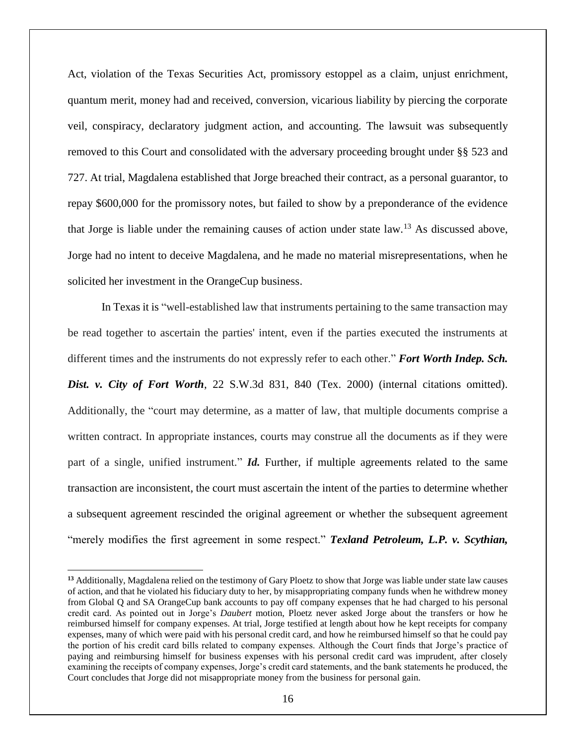Act, violation of the Texas Securities Act, promissory estoppel as a claim, unjust enrichment, quantum merit, money had and received, conversion, vicarious liability by piercing the corporate veil, conspiracy, declaratory judgment action, and accounting. The lawsuit was subsequently removed to this Court and consolidated with the adversary proceeding brought under §§ 523 and 727. At trial, Magdalena established that Jorge breached their contract, as a personal guarantor, to repay \$600,000 for the promissory notes, but failed to show by a preponderance of the evidence that Jorge is liable under the remaining causes of action under state  $law$ <sup>13</sup>. As discussed above, Jorge had no intent to deceive Magdalena, and he made no material misrepresentations, when he solicited her investment in the OrangeCup business.

In Texas it is "well-established law that instruments pertaining to the same transaction may be read together to ascertain the parties' intent, even if the parties executed the instruments at different times and the instruments do not expressly refer to each other." *Fort Worth Indep. Sch. Dist. v. City of Fort Worth*, 22 S.W.3d 831, 840 (Tex. 2000) (internal citations omitted). Additionally, the "court may determine, as a matter of law, that multiple documents comprise a written contract. In appropriate instances, courts may construe all the documents as if they were part of a single, unified instrument." *Id.* Further, if multiple agreements related to the same transaction are inconsistent, the court must ascertain the intent of the parties to determine whether a subsequent agreement rescinded the original agreement or whether the subsequent agreement "merely modifies the first agreement in some respect." *Texland Petroleum, L.P. v. Scythian,* 

**<sup>13</sup>** Additionally, Magdalena relied on the testimony of Gary Ploetz to show that Jorge was liable under state law causes of action, and that he violated his fiduciary duty to her, by misappropriating company funds when he withdrew money from Global Q and SA OrangeCup bank accounts to pay off company expenses that he had charged to his personal credit card. As pointed out in Jorge's *Daubert* motion, Ploetz never asked Jorge about the transfers or how he reimbursed himself for company expenses. At trial, Jorge testified at length about how he kept receipts for company expenses, many of which were paid with his personal credit card, and how he reimbursed himself so that he could pay the portion of his credit card bills related to company expenses. Although the Court finds that Jorge's practice of paying and reimbursing himself for business expenses with his personal credit card was imprudent, after closely examining the receipts of company expenses, Jorge's credit card statements, and the bank statements he produced, the Court concludes that Jorge did not misappropriate money from the business for personal gain.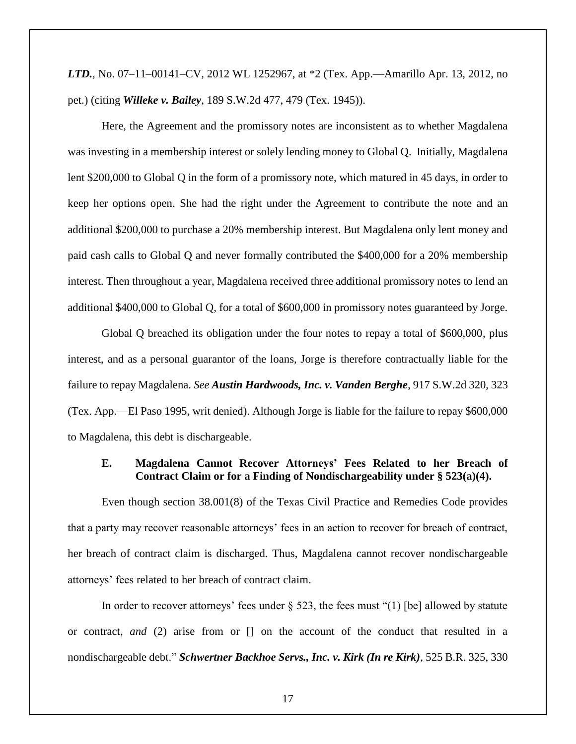*LTD.*, No. 07–11–00141–CV, 2012 WL 1252967, at \*2 (Tex. App.—Amarillo Apr. 13, 2012, no pet.) (citing *Willeke v. Bailey*, 189 S.W.2d 477, 479 (Tex. 1945)).

Here, the Agreement and the promissory notes are inconsistent as to whether Magdalena was investing in a membership interest or solely lending money to Global Q. Initially, Magdalena lent \$200,000 to Global Q in the form of a promissory note, which matured in 45 days, in order to keep her options open. She had the right under the Agreement to contribute the note and an additional \$200,000 to purchase a 20% membership interest. But Magdalena only lent money and paid cash calls to Global Q and never formally contributed the \$400,000 for a 20% membership interest. Then throughout a year, Magdalena received three additional promissory notes to lend an additional \$400,000 to Global Q, for a total of \$600,000 in promissory notes guaranteed by Jorge.

Global Q breached its obligation under the four notes to repay a total of \$600,000, plus interest, and as a personal guarantor of the loans, Jorge is therefore contractually liable for the failure to repay Magdalena. *See Austin Hardwoods, Inc. v. Vanden Berghe*, 917 S.W.2d 320, 323 (Tex. App.—El Paso 1995, writ denied). Although Jorge is liable for the failure to repay \$600,000 to Magdalena, this debt is dischargeable.

## **E. Magdalena Cannot Recover Attorneys' Fees Related to her Breach of Contract Claim or for a Finding of Nondischargeability under § 523(a)(4).**

Even though section 38.001(8) of the Texas Civil Practice and Remedies Code provides that a party may recover reasonable attorneys' fees in an action to recover for breach of contract, her breach of contract claim is discharged. Thus, Magdalena cannot recover nondischargeable attorneys' fees related to her breach of contract claim.

In order to recover attorneys' fees under  $\S$  523, the fees must "(1) [be] allowed by statute or contract, *and* (2) arise from or [] on the account of the conduct that resulted in a nondischargeable debt." *Schwertner Backhoe Servs., Inc. v. Kirk (In re Kirk)*, 525 B.R. 325, 330